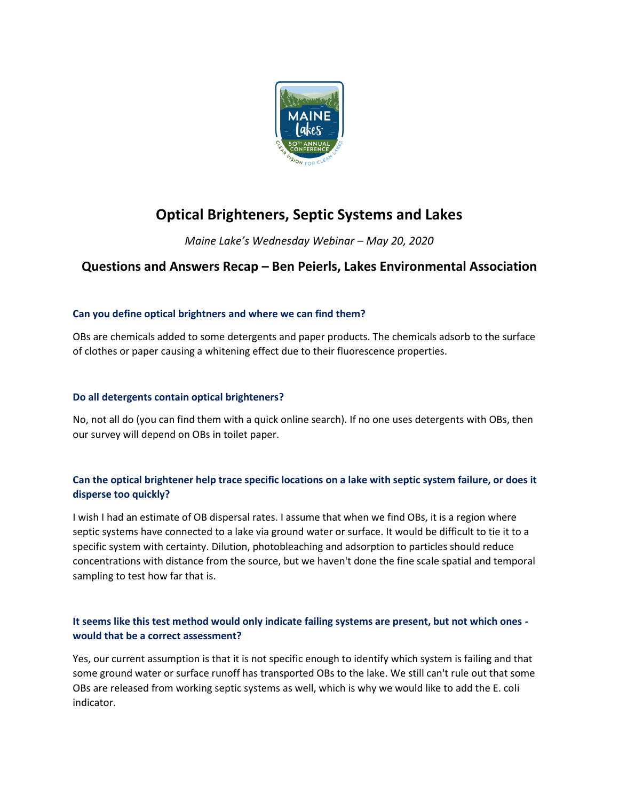

# **Optical Brighteners, Septic Systems and Lakes**

*Maine Lake's Wednesday Webinar – May 20, 2020*

# **Questions and Answers Recap – Ben Peierls, Lakes Environmental Association**

# **Can you define optical brightners and where we can find them?**

OBs are chemicals added to some detergents and paper products. The chemicals adsorb to the surface of clothes or paper causing a whitening effect due to their fluorescence properties.

# **Do all detergents contain optical brighteners?**

No, not all do (you can find them with a quick online search). If no one uses detergents with OBs, then our survey will depend on OBs in toilet paper.

# **Can the optical brightener help trace specific locations on a lake with septic system failure, or does it disperse too quickly?**

I wish I had an estimate of OB dispersal rates. I assume that when we find OBs, it is a region where septic systems have connected to a lake via ground water or surface. It would be difficult to tie it to a specific system with certainty. Dilution, photobleaching and adsorption to particles should reduce concentrations with distance from the source, but we haven't done the fine scale spatial and temporal sampling to test how far that is.

# **It seems like this test method would only indicate failing systems are present, but not which ones would that be a correct assessment?**

Yes, our current assumption is that it is not specific enough to identify which system is failing and that some ground water or surface runoff has transported OBs to the lake. We still can't rule out that some OBs are released from working septic systems as well, which is why we would like to add the E. coli indicator.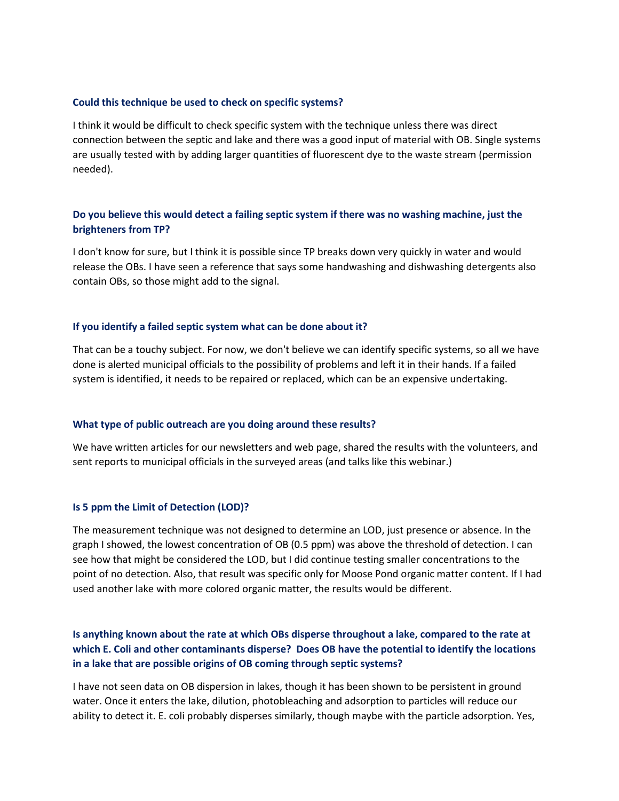### **Could this technique be used to check on specific systems?**

I think it would be difficult to check specific system with the technique unless there was direct connection between the septic and lake and there was a good input of material with OB. Single systems are usually tested with by adding larger quantities of fluorescent dye to the waste stream (permission needed).

## **Do you believe this would detect a failing septic system if there was no washing machine, just the brighteners from TP?**

I don't know for sure, but I think it is possible since TP breaks down very quickly in water and would release the OBs. I have seen a reference that says some handwashing and dishwashing detergents also contain OBs, so those might add to the signal.

### **If you identify a failed septic system what can be done about it?**

That can be a touchy subject. For now, we don't believe we can identify specific systems, so all we have done is alerted municipal officials to the possibility of problems and left it in their hands. If a failed system is identified, it needs to be repaired or replaced, which can be an expensive undertaking.

### **What type of public outreach are you doing around these results?**

We have written articles for our newsletters and web page, shared the results with the volunteers, and sent reports to municipal officials in the surveyed areas (and talks like this webinar.)

### **Is 5 ppm the Limit of Detection (LOD)?**

The measurement technique was not designed to determine an LOD, just presence or absence. In the graph I showed, the lowest concentration of OB (0.5 ppm) was above the threshold of detection. I can see how that might be considered the LOD, but I did continue testing smaller concentrations to the point of no detection. Also, that result was specific only for Moose Pond organic matter content. If I had used another lake with more colored organic matter, the results would be different.

# **Is anything known about the rate at which OBs disperse throughout a lake, compared to the rate at which E. Coli and other contaminants disperse? Does OB have the potential to identify the locations in a lake that are possible origins of OB coming through septic systems?**

I have not seen data on OB dispersion in lakes, though it has been shown to be persistent in ground water. Once it enters the lake, dilution, photobleaching and adsorption to particles will reduce our ability to detect it. E. coli probably disperses similarly, though maybe with the particle adsorption. Yes,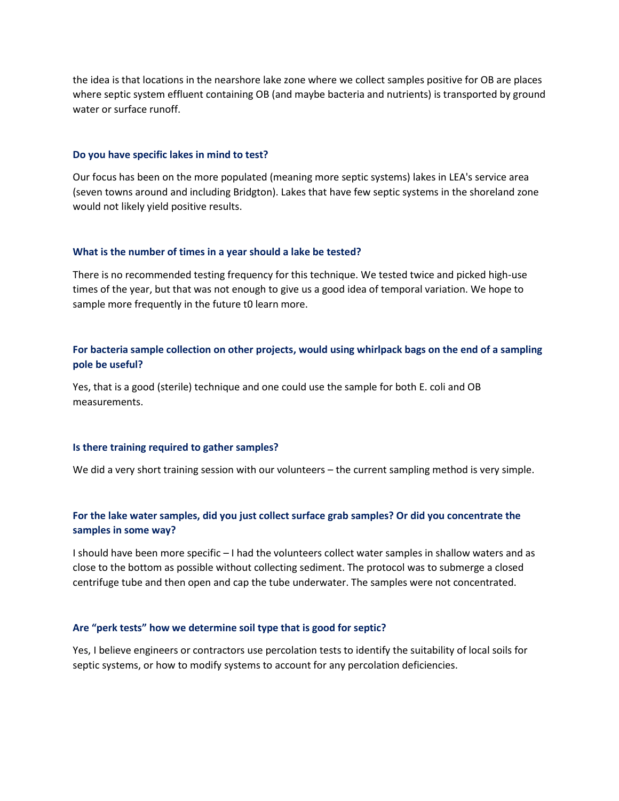the idea is that locations in the nearshore lake zone where we collect samples positive for OB are places where septic system effluent containing OB (and maybe bacteria and nutrients) is transported by ground water or surface runoff.

#### **Do you have specific lakes in mind to test?**

Our focus has been on the more populated (meaning more septic systems) lakes in LEA's service area (seven towns around and including Bridgton). Lakes that have few septic systems in the shoreland zone would not likely yield positive results.

#### **What is the number of times in a year should a lake be tested?**

There is no recommended testing frequency for this technique. We tested twice and picked high-use times of the year, but that was not enough to give us a good idea of temporal variation. We hope to sample more frequently in the future t0 learn more.

### **For bacteria sample collection on other projects, would using whirlpack bags on the end of a sampling pole be useful?**

Yes, that is a good (sterile) technique and one could use the sample for both E. coli and OB measurements.

#### **Is there training required to gather samples?**

We did a very short training session with our volunteers – the current sampling method is very simple.

# **For the lake water samples, did you just collect surface grab samples? Or did you concentrate the samples in some way?**

I should have been more specific – I had the volunteers collect water samples in shallow waters and as close to the bottom as possible without collecting sediment. The protocol was to submerge a closed centrifuge tube and then open and cap the tube underwater. The samples were not concentrated.

#### **Are "perk tests" how we determine soil type that is good for septic?**

Yes, I believe engineers or contractors use percolation tests to identify the suitability of local soils for septic systems, or how to modify systems to account for any percolation deficiencies.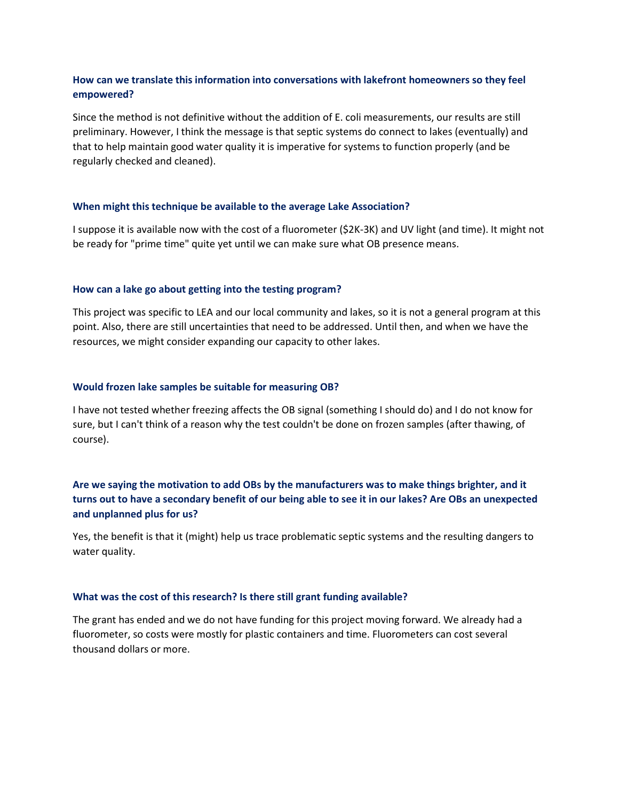## **How can we translate this information into conversations with lakefront homeowners so they feel empowered?**

Since the method is not definitive without the addition of E. coli measurements, our results are still preliminary. However, I think the message is that septic systems do connect to lakes (eventually) and that to help maintain good water quality it is imperative for systems to function properly (and be regularly checked and cleaned).

### **When might this technique be available to the average Lake Association?**

I suppose it is available now with the cost of a fluorometer (\$2K-3K) and UV light (and time). It might not be ready for "prime time" quite yet until we can make sure what OB presence means.

### **How can a lake go about getting into the testing program?**

This project was specific to LEA and our local community and lakes, so it is not a general program at this point. Also, there are still uncertainties that need to be addressed. Until then, and when we have the resources, we might consider expanding our capacity to other lakes.

### **Would frozen lake samples be suitable for measuring OB?**

I have not tested whether freezing affects the OB signal (something I should do) and I do not know for sure, but I can't think of a reason why the test couldn't be done on frozen samples (after thawing, of course).

# **Are we saying the motivation to add OBs by the manufacturers was to make things brighter, and it turns out to have a secondary benefit of our being able to see it in our lakes? Are OBs an unexpected and unplanned plus for us?**

Yes, the benefit is that it (might) help us trace problematic septic systems and the resulting dangers to water quality.

### **What was the cost of this research? Is there still grant funding available?**

The grant has ended and we do not have funding for this project moving forward. We already had a fluorometer, so costs were mostly for plastic containers and time. Fluorometers can cost several thousand dollars or more.